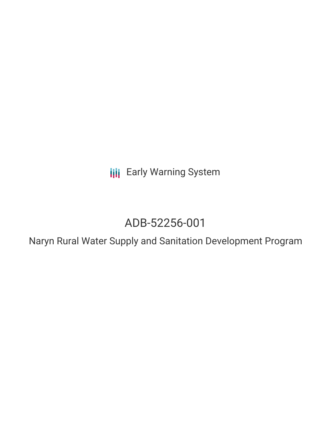**III** Early Warning System

# ADB-52256-001

Naryn Rural Water Supply and Sanitation Development Program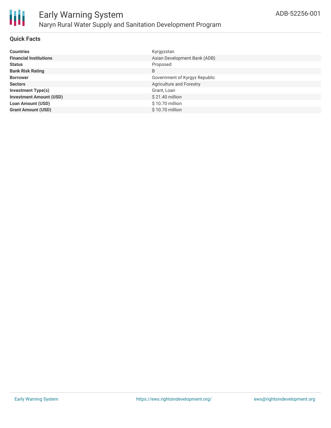

#### **Quick Facts**

| <b>Countries</b>               | Kyrgyzstan                    |
|--------------------------------|-------------------------------|
| <b>Financial Institutions</b>  | Asian Development Bank (ADB)  |
| <b>Status</b>                  | Proposed                      |
| <b>Bank Risk Rating</b>        | B                             |
| <b>Borrower</b>                | Government of Kyrgyz Republic |
| <b>Sectors</b>                 | Agriculture and Forestry      |
| <b>Investment Type(s)</b>      | Grant, Loan                   |
| <b>Investment Amount (USD)</b> | \$21.40 million               |
| <b>Loan Amount (USD)</b>       | \$10.70 million               |
| <b>Grant Amount (USD)</b>      | $$10.70$ million              |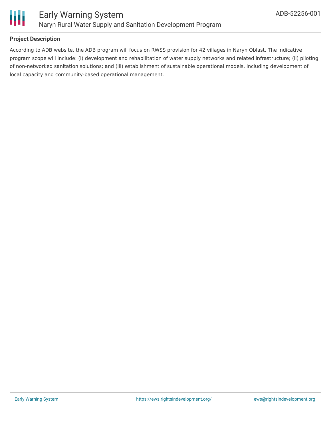

#### **Project Description**

According to ADB website, the ADB program will focus on RWSS provision for 42 villages in Naryn Oblast. The indicative program scope will include: (i) development and rehabilitation of water supply networks and related infrastructure; (ii) piloting of non-networked sanitation solutions; and (iii) establishment of sustainable operational models, including development of local capacity and community-based operational management.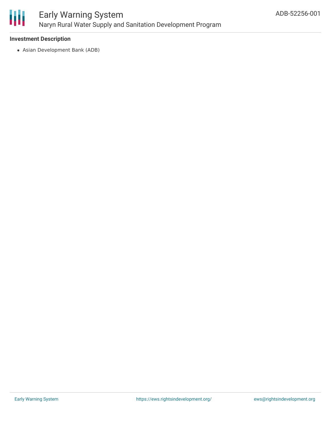

## Early Warning System Naryn Rural Water Supply and Sanitation Development Program

#### **Investment Description**

Asian Development Bank (ADB)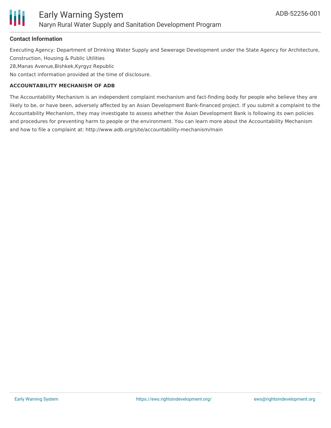

#### **Contact Information**

Executing Agency: Department of Drinking Water Supply and Sewerage Development under the State Agency for Architecture, Construction, Housing & Public Utilities

28,Manas Avenue,Bishkek,Kyrgyz Republic

No contact information provided at the time of disclosure.

#### **ACCOUNTABILITY MECHANISM OF ADB**

The Accountability Mechanism is an independent complaint mechanism and fact-finding body for people who believe they are likely to be, or have been, adversely affected by an Asian Development Bank-financed project. If you submit a complaint to the Accountability Mechanism, they may investigate to assess whether the Asian Development Bank is following its own policies and procedures for preventing harm to people or the environment. You can learn more about the Accountability Mechanism and how to file a complaint at: http://www.adb.org/site/accountability-mechanism/main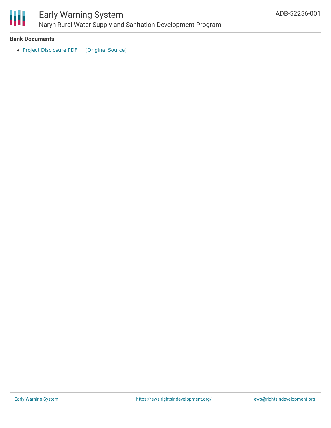

### Early Warning System Naryn Rural Water Supply and Sanitation Development Program

#### **Bank Documents**

• Project [Disclosure](https://ewsdata.rightsindevelopment.org/files/documents/01/ADB-52256-001.pdf) PDF [\[Original](https://www.adb.org/printpdf/projects/52256-001/main) Source]